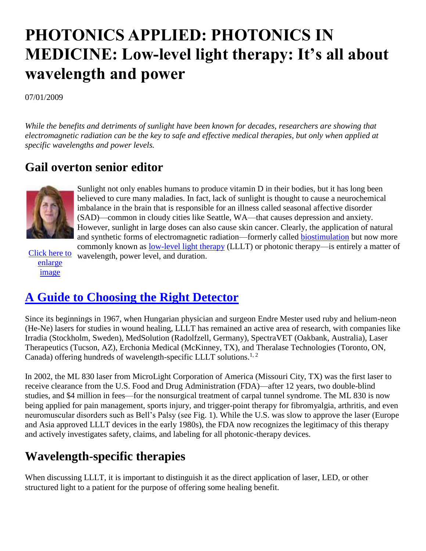# **PHOTONICS APPLIED: PHOTONICS IN MEDICINE: Low-level light therapy: It's all about wavelength and power**

07/01/2009

*While the benefits and detriments of sunlight have been known for decades, researchers are showing that electromagnetic radiation can be the key to safe and effective medical therapies, but only when applied at specific wavelengths and power levels.* 

#### **Gail overton senior editor**



imbalance in the brain that is responsible for an illness called seasonal affective disorder (SAD)—common in cloudy cities like Seattle, WA—that causes depression and anxiety. However, sunlight in large doses can also cause skin cancer. Clearly, the application of natural and synthetic forms of electromagnetic radiation—formerly called [biostimulation](http://www.laserfocusworld.com/articles/206948) but now more commonly known as [low-level light therapy](http://www.laserfocusworld.com/articles/345901) (LLLT) or photonic therapy—is entirely a matter of wavelength, power level, and duration.

Sunlight not only enables humans to produce vitamin D in their bodies, but it has long been believed to cure many maladies. In fact, lack of sunlight is thought to cause a neurochemical

[Click here to](javascript:OpenLargeWindow(265014,650,666,)  [enlarge](javascript:OpenLargeWindow(265014,650,666,)  [image](javascript:OpenLargeWindow(265014,650,666,)

# **[A Guide to Choosing the Right Detector](http://www.laserfocusworld.com/na/hamamatsu-corp/a-guide-to-choosing-the-right-detector.html)**

Since its beginnings in 1967, when Hungarian physician and surgeon Endre Mester used ruby and helium-neon (He-Ne) lasers for studies in wound healing, LLLT has remained an active area of research, with companies like Irradia (Stockholm, Sweden), MedSolution (Radolfzell, Germany), SpectraVET (Oakbank, Australia), Laser Therapeutics (Tucson, AZ), Erchonia Medical (McKinney, TX), and Theralase Technologies (Toronto, ON, Canada) offering hundreds of wavelength-specific LLLT solutions.<sup>1, 2</sup>

In 2002, the ML 830 laser from MicroLight Corporation of America (Missouri City, TX) was the first laser to receive clearance from the U.S. Food and Drug Administration (FDA)—after 12 years, two double-blind studies, and \$4 million in fees—for the nonsurgical treatment of carpal tunnel syndrome. The ML 830 is now being applied for pain management, sports injury, and trigger-point therapy for fibromyalgia, arthritis, and even neuromuscular disorders such as Bell's Palsy (see Fig. 1). While the U.S. was slow to approve the laser (Europe and Asia approved LLLT devices in the early 1980s), the FDA now recognizes the legitimacy of this therapy and actively investigates safety, claims, and labeling for all photonic-therapy devices.

# **Wavelength-specific therapies**

When discussing LLLT, it is important to distinguish it as the direct application of laser, LED, or other structured light to a patient for the purpose of offering some healing benefit.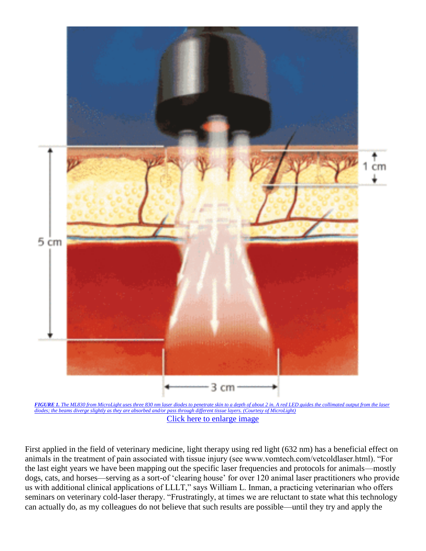

*FIGURE 1. The ML830 from MicroLight uses three 830 nm laser diodes to penetrate skin to a depth of about 2 [in. A red LED guides the collimated output from the laser](javascript:OpenLargeWindow(265014,650,666,)  diodes; the beams diverge slightly as they are absorbed [and/or pass through different tissue layers. \(Courtesy of MicroLight\)](javascript:OpenLargeWindow(265014,650,666,)* [Click here to enlarge image](javascript:OpenLargeWindow(265014,650,666,)

First applied in the field of veterinary medicine, light therapy using red light (632 nm) has a beneficial effect on animals in the treatment of pain associated with tissue injury (see www.vomtech.com/vetcoldlaser.html). "For the last eight years we have been mapping out the specific laser frequencies and protocols for animals—mostly dogs, cats, and horses—serving as a sort-of 'clearing house' for over 120 animal laser practitioners who provide us with additional clinical applications of LLLT," says William L. Inman, a practicing veterinarian who offers seminars on veterinary cold-laser therapy. "Frustratingly, at times we are reluctant to state what this technology can actually do, as my colleagues do not believe that such results are possible—until they try and apply the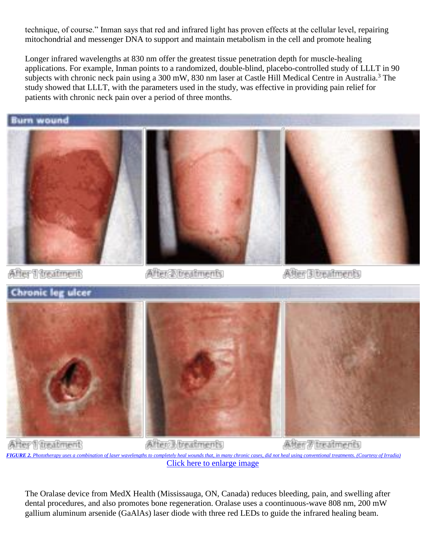technique, of course." Inman says that red and infrared light has proven effects at the cellular level, repairing mitochondrial and messenger DNA to support and maintain metabolism in the cell and promote healing

Longer infrared wavelengths at 830 nm offer the greatest tissue penetration depth for muscle-healing applications. For example, Inman points to a randomized, double-blind, placebo-controlled study of LLLT in 90 subjects with chronic neck pain using a 300 mW, 830 nm laser at Castle Hill Medical Centre in Australia.<sup>3</sup> The study showed that LLLT, with the parameters used in the study, was effective in providing pain relief for patients with chronic neck pain over a period of three months.

Burn wound







After 1 treatment

After 2 treatments

After 3 treatments



After 1 treatment After 3 treatments After 7 treatments *FIGURE 2. [Phototherapy uses a combination of laser wavelengths to completely heal wounds that, in many chronic cases, did not heal using conventional treatments. \(Courtesy of Irradia\)](javascript:OpenLargeWindow(265014,650,666,)* [Click here to enlarge image](javascript:OpenLargeWindow(265014,650,666,)

The Oralase device from MedX Health (Mississauga, ON, Canada) reduces bleeding, pain, and swelling after dental procedures, and also promotes bone regeneration. Oralase uses a coontinuous-wave 808 nm, 200 mW gallium aluminum arsenide (GaAlAs) laser diode with three red LEDs to guide the infrared healing beam.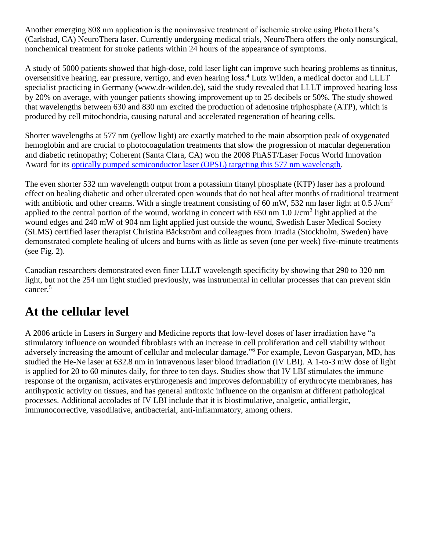Another emerging 808 nm application is the noninvasive treatment of ischemic stroke using PhotoThera's (Carlsbad, CA) NeuroThera laser. Currently undergoing medical trials, NeuroThera offers the only nonsurgical, nonchemical treatment for stroke patients within 24 hours of the appearance of symptoms.

A study of 5000 patients showed that high-dose, cold laser light can improve such hearing problems as tinnitus, oversensitive hearing, ear pressure, vertigo, and even hearing loss.<sup>4</sup> Lutz Wilden, a medical doctor and LLLT specialist practicing in Germany (www.dr-wilden.de), said the study revealed that LLLT improved hearing loss by 20% on average, with younger patients showing improvement up to 25 decibels or 50%. The study showed that wavelengths between 630 and 830 nm excited the production of adenosine triphosphate (ATP), which is produced by cell mitochondria, causing natural and accelerated regeneration of hearing cells.

Shorter wavelengths at 577 nm (yellow light) are exactly matched to the main absorption peak of oxygenated hemoglobin and are crucial to photocoagulation treatments that slow the progression of macular degeneration and diabetic retinopathy; Coherent (Santa Clara, CA) won the 2008 PhAST/Laser Focus World Innovation Award for its [optically pumped semiconductor laser \(OPSL\) targeting this 577 nm wavelength.](http://www.laserfocusworld.com/articles/330753)

The even shorter 532 nm wavelength output from a potassium titanyl phosphate (KTP) laser has a profound effect on healing diabetic and other ulcerated open wounds that do not heal after months of traditional treatment with antibiotic and other creams. With a single treatment consisting of 60 mW, 532 nm laser light at 0.5 J/cm<sup>2</sup> applied to the central portion of the wound, working in concert with  $650 \text{ nm}$  1.0 J/cm<sup>2</sup> light applied at the wound edges and 240 mW of 904 nm light applied just outside the wound, Swedish Laser Medical Society (SLMS) certified laser therapist Christina Bäckström and colleagues from Irradia (Stockholm, Sweden) have demonstrated complete healing of ulcers and burns with as little as seven (one per week) five-minute treatments (see Fig. 2).

Canadian researchers demonstrated even finer LLLT wavelength specificity by showing that 290 to 320 nm light, but not the 254 nm light studied previously, was instrumental in cellular processes that can prevent skin cancer.<sup>5</sup>

### **At the cellular level**

A 2006 article in Lasers in Surgery and Medicine reports that low-level doses of laser irradiation have "a stimulatory influence on wounded fibroblasts with an increase in cell proliferation and cell viability without adversely increasing the amount of cellular and molecular damage."<sup>6</sup> For example, Levon Gasparyan, MD, has studied the He-Ne laser at 632.8 nm in intravenous laser blood irradiation (IV LBI). A 1-to-3 mW dose of light is applied for 20 to 60 minutes daily, for three to ten days. Studies show that IV LBI stimulates the immune response of the organism, activates erythrogenesis and improves deformability of erythrocyte membranes, has antihypoxic activity on tissues, and has general antitoxic influence on the organism at different pathological processes. Additional accolades of IV LBI include that it is biostimulative, analgetic, antiallergic, immunocorrective, vasodilative, antibacterial, anti-inflammatory, among others.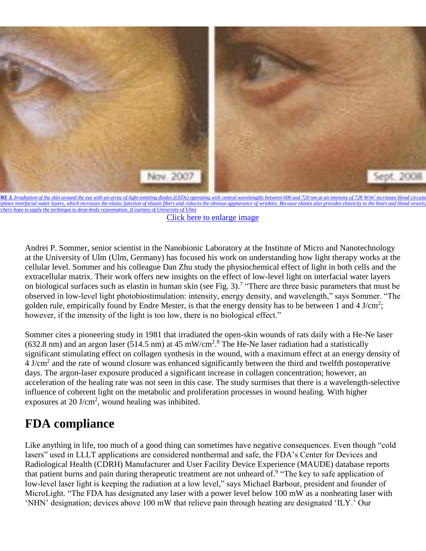

**RE 3.** [Irradiation of the skin around the eye with an array of light-emitting diodes \(LEDs\) operating with central wavelengths between 600 and 720 nm at an intensity of 728](javascript:OpenLargeWindow(265014,650,666,) W/m<sup>[2](javascript:OpenLargeWindow(265014,650,666,)</sup> increases blood circula epletes interfacial water layers, which increases the elastic function of elastin fibers and reduces the obvious appearance of wrinkles. Because elastin also provides elasticity to the heart and blood vessels *hope to apply the technique to deep-body rejuvenation. (Courtesy of University of Ulm)* 

[Click here to enlarge image](javascript:OpenLargeWindow(265014,650,666,)

Andrei P. Sommer, senior scientist in the Nanobionic Laboratory at the Institute of Micro and Nanotechnology at the University of Ulm (Ulm, Germany) has focused his work on understanding how light therapy works at the cellular level. Sommer and his colleague Dan Zhu study the physiochemical effect of light in both cells and the extracellular matrix. Their work offers new insights on the effect of low-level light on interfacial water layers on biological surfaces such as elastin in human skin (see Fig. 3).<sup>7</sup> "There are three basic parameters that must be observed in low-level light photobiostimulation: intensity, energy density, and wavelength," says Sommer. "The golden rule, empirically found by Endre Mester, is that the energy density has to be between 1 and 4 J/cm<sup>2</sup>; however, if the intensity of the light is too low, there is no biological effect."

Sommer cites a pioneering study in 1981 that irradiated the open-skin wounds of rats daily with a He-Ne laser (632.8 nm) and an argon laser (514.5 nm) at 45 mW/cm<sup>2 on 8</sup> The He-Ne laser radiation had a statistically significant stimulating effect on collagen synthesis in the wound, with a maximum effect at an energy density of 4 J/cm<sup>2</sup> and the rate of wound closure was enhanced significantly between the third and twelfth postoperative days. The argon-laser exposure produced a significant increase in collagen concentration; however, an acceleration of the healing rate was not seen in this case. The study surmises that there is a wavelength-selective influence of coherent light on the metabolic and proliferation processes in wound healing. With higher exposures at 20 J/cm<sup>2</sup>, wound healing was inhibited.

# **FDA compliance**

Like anything in life, too much of a good thing can sometimes have negative consequences. Even though "cold lasers" used in LLLT applications are considered nonthermal and safe, the FDA's Center for Devices and Radiological Health (CDRH) Manufacturer and User Facility Device Experience (MAUDE) database reports that patient burns and pain during therapeutic treatment are not unheard of.<sup>9</sup> "The key to safe application of low-level laser light is keeping the radiation at a low level," says Michael Barbour, president and founder of MicroLight. "The FDA has designated any laser with a power level below 100 mW as a nonheating laser with 'NHN' designation; devices above 100 mW that relieve pain through heating are designated 'ILY.' Our